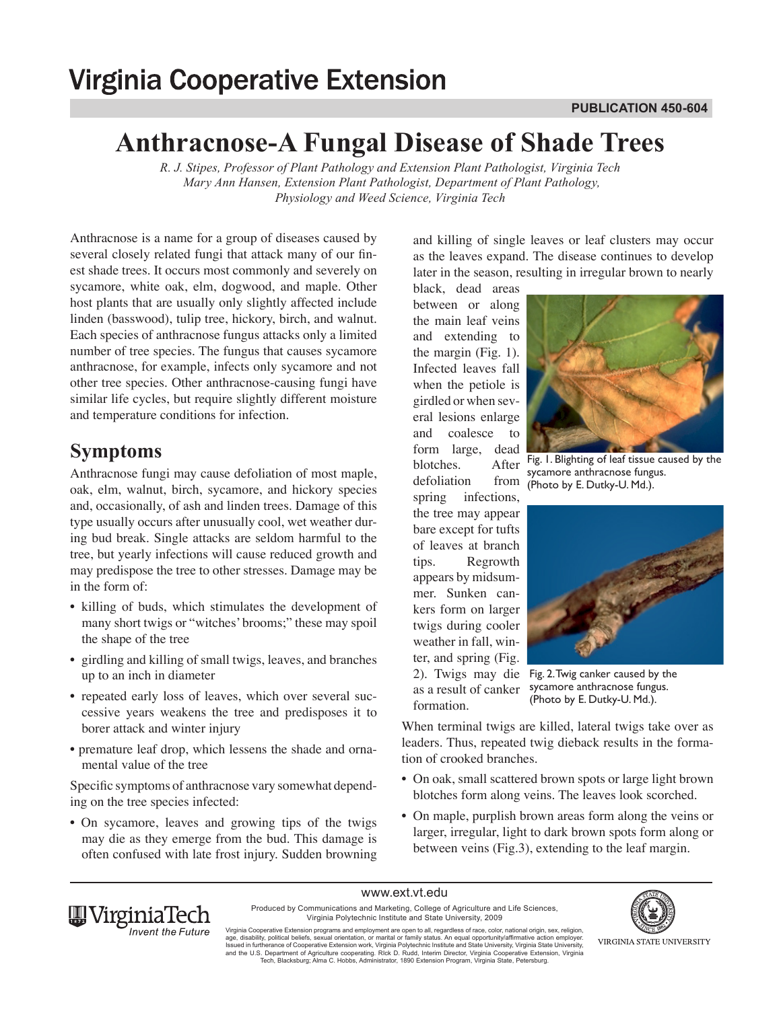# **Virginia Cooperative Extension**

# **Anthracnose-A Fungal Disease of Shade Trees**

*R. J. Stipes, Professor of Plant Pathology and Extension Plant Pathologist, Virginia Tech Mary Ann Hansen, Extension Plant Pathologist, Department of Plant Pathology, Physiology and Weed Science, Virginia Tech*

Anthracnose is a name for a group of diseases caused by several closely related fungi that attack many of our finest shade trees. It occurs most commonly and severely on sycamore, white oak, elm, dogwood, and maple. Other host plants that are usually only slightly affected include linden (basswood), tulip tree, hickory, birch, and walnut. Each species of anthracnose fungus attacks only a limited number of tree species. The fungus that causes sycamore anthracnose, for example, infects only sycamore and not other tree species. Other anthracnose-causing fungi have similar life cycles, but require slightly different moisture and temperature conditions for infection.

### **Symptoms**

Anthracnose fungi may cause defoliation of most maple, oak, elm, walnut, birch, sycamore, and hickory species and, occasionally, of ash and linden trees. Damage of this type usually occurs after unusually cool, wet weather during bud break. Single attacks are seldom harmful to the tree, but yearly infections will cause reduced growth and may predispose the tree to other stresses. Damage may be in the form of:

- killing of buds, which stimulates the development of many short twigs or "witches' brooms;" these may spoil the shape of the tree
- girdling and killing of small twigs, leaves, and branches up to an inch in diameter
- repeated early loss of leaves, which over several successive years weakens the tree and predisposes it to borer attack and winter injury
- premature leaf drop, which lessens the shade and ornamental value of the tree

Specific symptoms of anthracnose vary somewhat depending on the tree species infected:

• On sycamore, leaves and growing tips of the twigs may die as they emerge from the bud. This damage is often confused with late frost injury. Sudden browning and killing of single leaves or leaf clusters may occur as the leaves expand. The disease continues to develop later in the season, resulting in irregular brown to nearly

black, dead areas between or along the main leaf veins and extending to the margin (Fig. 1). Infected leaves fall when the petiole is girdled or when several lesions enlarge and coalesce to form large, dead blotches. After defoliation from spring infections, the tree may appear bare except for tufts of leaves at branch tips. Regrowth appears by midsummer. Sunken cankers form on larger twigs during cooler weather in fall, winter, and spring (Fig. as a result of canker formation.



Fig. 1. Blighting of leaf tissue caused by the sycamore anthracnose fungus. (Photo by E. Dutky-U. Md.).



2). Twigs may die Fig. 2. Twig canker caused by the sycamore anthracnose fungus. (Photo by E. Dutky-U. Md.).

When terminal twigs are killed, lateral twigs take over as leaders. Thus, repeated twig dieback results in the formation of crooked branches.

- On oak, small scattered brown spots or large light brown blotches form along veins. The leaves look scorched.
- On maple, purplish brown areas form along the veins or larger, irregular, light to dark brown spots form along or between veins (Fig.3), extending to the leaf margin.



www.ext.vt.edu

Produced by Communications and Marketing, College of Agriculture and Life Sciences, Virginia Polytechnic Institute and State University, 2009



Virginia Cooperative Extension programs and employment are open to all, regardless of race, color, national origin, sex, religion,<br>age, disability, political beliefs, sexual orientation, or marital or family status. An equ and the U.S. Department of Agriculture cooperating. RIck D. Rudd, Interim Director, Virginia Cooperative Extension, Virginia<br>Tech, Blacksburg; Alma C. Hobbs, Administrator, 1890 Extension Program, Virginia State, Petersbur

VIRGINIA STATE UNIVERSITY